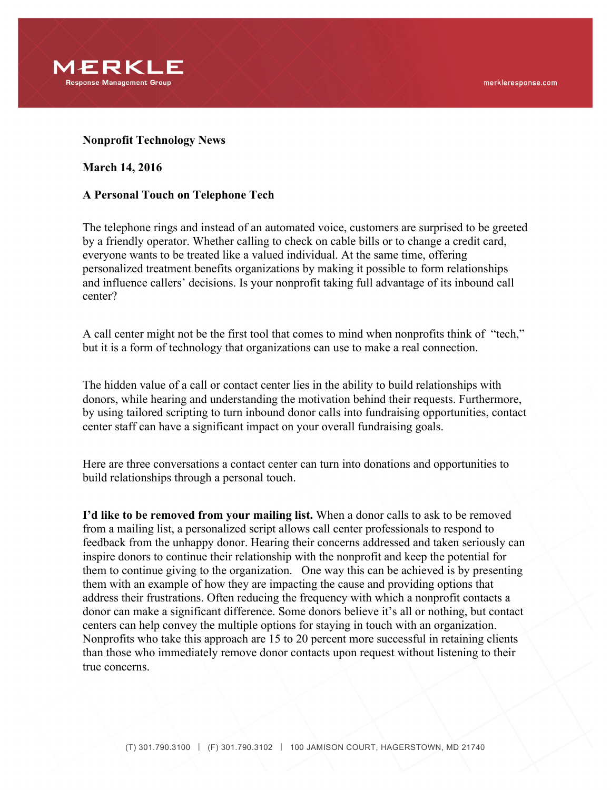

## **Nonprofit Technology News**

## **March 14, 2016**

## **A Personal Touch on Telephone Tech**

The telephone rings and instead of an automated voice, customers are surprised to be greeted by a friendly operator. Whether calling to check on cable bills or to change a credit card, everyone wants to be treated like a valued individual. At the same time, offering personalized treatment benefits organizations by making it possible to form relationships and influence callers' decisions. Is your nonprofit taking full advantage of its inbound call center?

A call center might not be the first tool that comes to mind when nonprofits think of "tech," but it is a form of technology that organizations can use to make a real connection.

The hidden value of a call or contact center lies in the ability to build relationships with donors, while hearing and understanding the motivation behind their requests. Furthermore, by using tailored scripting to turn inbound donor calls into fundraising opportunities, contact center staff can have a significant impact on your overall fundraising goals.

Here are three conversations a contact center can turn into donations and opportunities to build relationships through a personal touch.

**I'd like to be removed from your mailing list.** When a donor calls to ask to be removed from a mailing list, a personalized script allows call center professionals to respond to feedback from the unhappy donor. Hearing their concerns addressed and taken seriously can inspire donors to continue their relationship with the nonprofit and keep the potential for them to continue giving to the organization. One way this can be achieved is by presenting them with an example of how they are impacting the cause and providing options that address their frustrations. Often reducing the frequency with which a nonprofit contacts a donor can make a significant difference. Some donors believe it's all or nothing, but contact centers can help convey the multiple options for staying in touch with an organization. Nonprofits who take this approach are 15 to 20 percent more successful in retaining clients than those who immediately remove donor contacts upon request without listening to their true concerns.